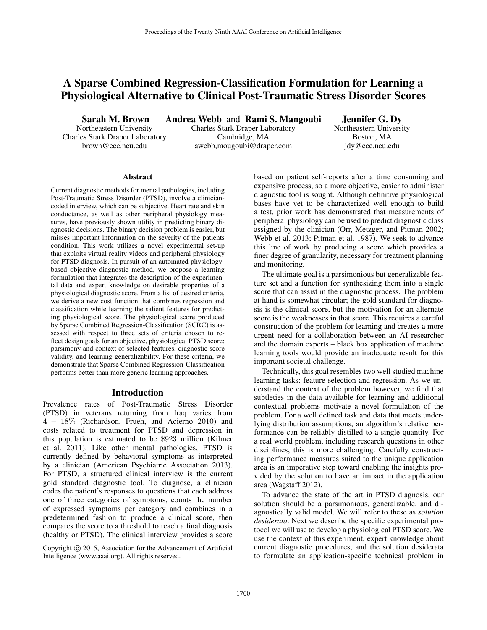# A Sparse Combined Regression-Classification Formulation for Learning a Physiological Alternative to Clinical Post-Traumatic Stress Disorder Scores

Sarah M. Brown

Northeastern University Charles Stark Draper Laboratory brown@ece.neu.edu

Andrea Webb and Rami S. Mangoubi Charles Stark Draper Laboratory Cambridge, MA

awebb,mougoubi@draper.com

Jennifer G. Dy Northeastern University Boston, MA jdy@ece.neu.edu

#### Abstract

Current diagnostic methods for mental pathologies, including Post-Traumatic Stress Disorder (PTSD), involve a cliniciancoded interview, which can be subjective. Heart rate and skin conductance, as well as other peripheral physiology measures, have previously shown utility in predicting binary diagnostic decisions. The binary decision problem is easier, but misses important information on the severity of the patients condition. This work utilizes a novel experimental set-up that exploits virtual reality videos and peripheral physiology for PTSD diagnosis. In pursuit of an automated physiologybased objective diagnostic method, we propose a learning formulation that integrates the description of the experimental data and expert knowledge on desirable properties of a physiological diagnostic score. From a list of desired criteria, we derive a new cost function that combines regression and classification while learning the salient features for predicting physiological score. The physiological score produced by Sparse Combined Regression-Classification (SCRC) is assessed with respect to three sets of criteria chosen to reflect design goals for an objective, physiological PTSD score: parsimony and context of selected features, diagnostic score validity, and learning generalizability. For these criteria, we demonstrate that Sparse Combined Regression-Classification performs better than more generic learning approaches.

#### Introduction

Prevalence rates of Post-Traumatic Stress Disorder (PTSD) in veterans returning from Iraq varies from 4 − 18% (Richardson, Frueh, and Acierno 2010) and costs related to treatment for PTSD and depression in this population is estimated to be \$923 million (Kilmer et al. 2011). Like other mental pathologies, PTSD is currently defined by behavioral symptoms as interpreted by a clinician (American Psychiatric Association 2013). For PTSD, a structured clinical interview is the current gold standard diagnostic tool. To diagnose, a clinician codes the patient's responses to questions that each address one of three categories of symptoms, counts the number of expressed symptoms per category and combines in a predetermined fashion to produce a clinical score, then compares the score to a threshold to reach a final diagnosis (healthy or PTSD). The clinical interview provides a score

Copyright  $\odot$  2015, Association for the Advancement of Artificial Intelligence (www.aaai.org). All rights reserved.

based on patient self-reports after a time consuming and expensive process, so a more objective, easier to administer diagnostic tool is sought. Although definitive physiological bases have yet to be characterized well enough to build a test, prior work has demonstrated that measurements of peripheral physiology can be used to predict diagnostic class assigned by the clinician (Orr, Metzger, and Pitman 2002; Webb et al. 2013; Pitman et al. 1987). We seek to advance this line of work by producing a score which provides a finer degree of granularity, necessary for treatment planning and monitoring.

The ultimate goal is a parsimonious but generalizable feature set and a function for synthesizing them into a single score that can assist in the diagnostic process. The problem at hand is somewhat circular; the gold standard for diagnosis is the clinical score, but the motivation for an alternate score is the weaknesses in that score. This requires a careful construction of the problem for learning and creates a more urgent need for a collaboration between an AI researcher and the domain experts – black box application of machine learning tools would provide an inadequate result for this important societal challenge.

Technically, this goal resembles two well studied machine learning tasks: feature selection and regression. As we understand the context of the problem however, we find that subtleties in the data available for learning and additional contextual problems motivate a novel formulation of the problem. For a well defined task and data that meets underlying distribution assumptions, an algorithm's relative performance can be reliably distilled to a single quantity. For a real world problem, including research questions in other disciplines, this is more challenging. Carefully constructing performance measures suited to the unique application area is an imperative step toward enabling the insights provided by the solution to have an impact in the application area (Wagstaff 2012).

To advance the state of the art in PTSD diagnosis, our solution should be a parsimonious, generalizable, and diagnostically valid model. We will refer to these as *solution desiderata*. Next we describe the specific experimental protocol we will use to develop a physiological PTSD score. We use the context of this experiment, expert knowledge about current diagnostic procedures, and the solution desiderata to formulate an application-specific technical problem in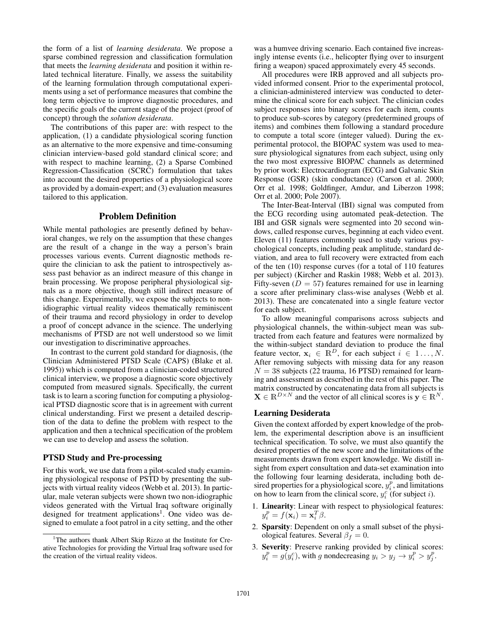the form of a list of *learning desiderata*. We propose a sparse combined regression and classification formulation that meets the *learning desiderata* and position it within related technical literature. Finally, we assess the suitability of the learning formulation through computational experiments using a set of performance measures that combine the long term objective to improve diagnostic procedures, and the specific goals of the current stage of the project (proof of concept) through the *solution desiderata*.

The contributions of this paper are: with respect to the application, (1) a candidate physiological scoring function as an alternative to the more expensive and time-consuming clinician interview-based gold standard clinical score; and with respect to machine learning, (2) a Sparse Combined Regression-Classification (SCRC) formulation that takes into account the desired properties of a physiological score as provided by a domain-expert; and (3) evaluation measures tailored to this application.

#### Problem Definition

While mental pathologies are presently defined by behavioral changes, we rely on the assumption that these changes are the result of a change in the way a person's brain processes various events. Current diagnostic methods require the clinician to ask the patient to introspectively assess past behavior as an indirect measure of this change in brain processing. We propose peripheral physiological signals as a more objective, though still indirect measure of this change. Experimentally, we expose the subjects to nonidiographic virtual reality videos thematically reminiscent of their trauma and record physiology in order to develop a proof of concept advance in the science. The underlying mechanisms of PTSD are not well understood so we limit our investigation to discriminative approaches.

In contrast to the current gold standard for diagnosis, (the Clinician Administered PTSD Scale (CAPS) (Blake et al. 1995)) which is computed from a clinician-coded structured clinical interview, we propose a diagnostic score objectively computed from measured signals. Specifically, the current task is to learn a scoring function for computing a physiological PTSD diagnostic score that is in agreement with current clinical understanding. First we present a detailed description of the data to define the problem with respect to the application and then a technical specification of the problem we can use to develop and assess the solution.

#### PTSD Study and Pre-processing

For this work, we use data from a pilot-scaled study examining physiological response of PSTD by presenting the subjects with virtual reality videos (Webb et al. 2013). In particular, male veteran subjects were shown two non-idiographic videos generated with the Virtual Iraq software originally designed for treatment applications<sup>1</sup>. One video was designed to emulate a foot patrol in a city setting, and the other

was a humvee driving scenario. Each contained five increasingly intense events (i.e., helicopter flying over to insurgent firing a weapon) spaced approximately every 45 seconds.

All procedures were IRB approved and all subjects provided informed consent. Prior to the experimental protocol, a clinician-administered interview was conducted to determine the clinical score for each subject. The clinician codes subject responses into binary scores for each item, counts to produce sub-scores by category (predetermined groups of items) and combines them following a standard procedure to compute a total score (integer valued). During the experimental protocol, the BIOPAC system was used to measure physiological signatures from each subject, using only the two most expressive BIOPAC channels as determined by prior work: Electrocardiogram (ECG) and Galvanic Skin Response (GSR) (skin conductance) (Carson et al. 2000; Orr et al. 1998; Goldfinger, Amdur, and Liberzon 1998; Orr et al. 2000; Pole 2007).

The Inter-Beat-Interval (IBI) signal was computed from the ECG recording using automated peak-detection. The IBI and GSR signals were segmented into 20 second windows, called response curves, beginning at each video event. Eleven (11) features commonly used to study various psychological concepts, including peak amplitude, standard deviation, and area to full recovery were extracted from each of the ten (10) response curves (for a total of 110 features per subject) (Kircher and Raskin 1988; Webb et al. 2013). Fifty-seven ( $D = 57$ ) features remained for use in learning a score after preliminary class-wise analyses (Webb et al. 2013). These are concatenated into a single feature vector for each subject.

To allow meaningful comparisons across subjects and physiological channels, the within-subject mean was subtracted from each feature and features were normalized by the within-subject standard deviation to produce the final feature vector,  $x_i \in \mathbb{R}^D$ , for each subject  $i \in 1 \dots, N$ . After removing subjects with missing data for any reason  $N = 38$  subjects (22 trauma, 16 PTSD) remained for learning and assessment as described in the rest of this paper. The matrix constructed by concatenating data from all subjects is  $\mathbf{X} \in \mathbb{R}^{D \times N}$  and the vector of all clinical scores is  $\mathbf{y} \in \mathbb{R}^{N}$ .

# Learning Desiderata

Given the context afforded by expert knowledge of the problem, the experimental description above is an insufficient technical specification. To solve, we must also quantify the desired properties of the new score and the limitations of the measurements drawn from expert knowledge. We distill insight from expert consultation and data-set examination into the following four learning desiderata, including both desired properties for a physiological score,  $y_i^p$ , and limitations on how to learn from the clinical score,  $y_i^c$  (for subject *i*).

- 1. Linearity: Linear with respect to physiological features:  $y_i^p = f(\mathbf{x}_i) = \mathbf{x}_i^T \beta.$
- 2. Sparsity: Dependent on only a small subset of the physiological features. Several  $\beta_f = 0$ .
- 3. Severity: Preserve ranking provided by clinical scores:  $y_i^p = g(y_i^c)$ , with g nondecreasing  $y_i > y_j \rightarrow y_i^p > y_j^p$ .

<sup>&</sup>lt;sup>1</sup>The authors thank Albert Skip Rizzo at the Institute for Creative Technologies for providing the Virtual Iraq software used for the creation of the virtual reality videos.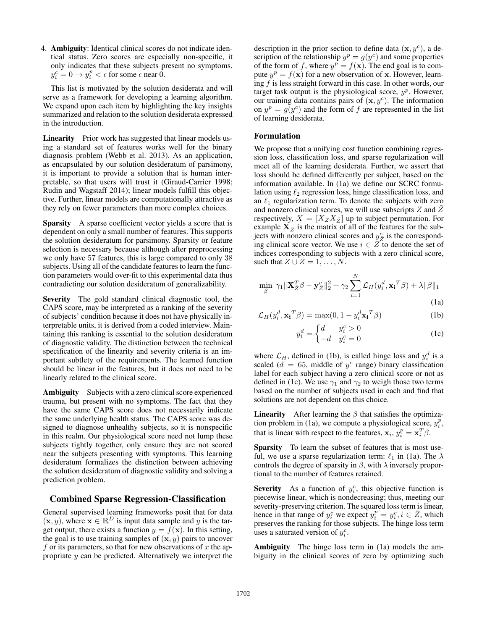4. Ambiguity: Identical clinical scores do not indicate identical status. Zero scores are especially non-specific, it only indicates that these subjects present no symptoms.  $y_i^c = 0 \rightarrow y_i^p < \epsilon$  for some  $\epsilon$  near 0.

This list is motivated by the solution desiderata and will serve as a framework for developing a learning algorithm. We expand upon each item by highlighting the key insights summarized and relation to the solution desiderata expressed in the introduction.

Linearity Prior work has suggested that linear models using a standard set of features works well for the binary diagnosis problem (Webb et al. 2013). As an application, as encapsulated by our solution desideratum of parsimony, it is important to provide a solution that is human interpretable, so that users will trust it (Giraud-Carrier 1998; Rudin and Wagstaff 2014); linear models fulfill this objective. Further, linear models are computationally attractive as they rely on fewer parameters than more complex choices.

Sparsity A sparse coefficient vector yields a score that is dependent on only a small number of features. This supports the solution desideratum for parsimony. Sparsity or feature selection is necessary because although after preprocessing we only have 57 features, this is large compared to only 38 subjects. Using all of the candidate features to learn the function parameters would over-fit to this experimental data thus contradicting our solution desideratum of generalizability.

Severity The gold standard clinical diagnostic tool, the CAPS score, may be interpreted as a ranking of the severity of subjects' condition because it does not have physically interpretable units, it is derived from a coded interview. Maintaining this ranking is essential to the solution desideratum of diagnostic validity. The distinction between the technical specification of the linearity and severity criteria is an important subtlety of the requirements. The learned function should be linear in the features, but it does not need to be linearly related to the clinical score.

Ambiguity Subjects with a zero clinical score experienced trauma, but present with no symptoms. The fact that they have the same CAPS score does not necessarily indicate the same underlying health status. The CAPS score was designed to diagnose unhealthy subjects, so it is nonspecific in this realm. Our physiological score need not lump these subjects tightly together, only ensure they are not scored near the subjects presenting with symptoms. This learning desideratum formalizes the distinction between achieving the solution desideratum of diagnostic validity and solving a prediction problem.

## Combined Sparse Regression-Classification

General supervised learning frameworks posit that for data  $(\mathbf{x}, y)$ , where  $\mathbf{x} \in \mathbb{R}^D$  is input data sample and y is the target output, there exists a function  $y = f(x)$ . In this setting, the goal is to use training samples of  $(x, y)$  pairs to uncover f or its parameters, so that for new observations of x the appropriate y can be predicted. Alternatively we interpret the

description in the prior section to define data  $(x, y^c)$ , a description of the relationship  $y^p = g(y^c)$  and some properties of the form of f, where  $y^p = f(x)$ . The end goal is to compute  $y^p = f(\mathbf{x})$  for a new observation of x. However, learning  $f$  is less straight forward in this case. In other words, our target task output is the physiological score,  $y^p$ . However, our training data contains pairs of  $(\mathbf{x}, y^c)$ . The information on  $y^p = g(y^c)$  and the form of f are represented in the list of learning desiderata.

#### Formulation

We propose that a unifying cost function combining regression loss, classification loss, and sparse regularization will meet all of the learning desiderata. Further, we assert that loss should be defined differently per subject, based on the information available. In (1a) we define our SCRC formulation using  $\ell_2$  regression loss, hinge classification loss, and an  $\ell_1$  regularization term. To denote the subjects with zero and nonzero clinical scores, we will use subscripts  $Z$  and  $\overline{Z}$ respectively,  $X = [X_Z X_{\bar{Z}}]$  up to subject permutation. For example  $X_{\bar{Z}}$  is the matrix of all of the features for the subjects with nonzero clinical scores and  $y_Z^c$  is the corresponding clinical score vector. We use  $i \in \overline{Z}$  to denote the set of indices corresponding to subjects with a zero clinical score, such that  $Z \cup Z = 1, \ldots, N$ .

$$
\min_{\beta} \ \gamma_1 \|\mathbf{X}_{\bar{Z}}^T \beta - \mathbf{y}_{\bar{Z}}^c\|_2^2 + \gamma_2 \sum_{i=1}^N \mathcal{L}_H(y_i^d, \mathbf{x_i}^T \beta) + \lambda \|\beta\|_1
$$
\n(1a)

$$
\mathcal{L}_H(y_i^d, \mathbf{x_i}^T \beta) = \max(0, 1 - y_i^d \mathbf{x_i}^T \beta)
$$
 (1b)

$$
y_i^d = \begin{cases} d & y_i^c > 0 \\ -d & y_i^c = 0 \end{cases}
$$
 (1c)

where  $\mathcal{L}_H$ , defined in (1b), is called hinge loss and  $y_i^d$  is a scaled ( $d = 65$ , middle of  $y^c$  range) binary classification label for each subject having a zero clinical score or not as defined in (1c). We use  $\gamma_1$  and  $\gamma_2$  to weigh those two terms based on the number of subjects used in each and find that solutions are not dependent on this choice.

**Linearity** After learning the  $\beta$  that satisfies the optimization problem in (1a), we compute a physiological score,  $y_i^p$ , that is linear with respect to the features,  $\mathbf{x}_i$ ,  $y_i^p = \mathbf{x}_i^T \beta$ .

Sparsity To learn the subset of features that is most useful, we use a sparse regularization term:  $\ell_1$  in (1a). The  $\lambda$ controls the degree of sparsity in  $\beta$ , with  $\lambda$  inversely proportional to the number of features retained.

Severity As a function of  $y_i^c$ , this objective function is piecewise linear, which is nondecreasing; thus, meeting our severity-preserving criterion. The squared loss term is linear, hence in that range of  $y_i^c$  we expect  $y_i^p = y_i^c$ ,  $i \in \overline{Z}$ , which preserves the ranking for those subjects. The hinge loss term uses a saturated version of  $y_i^c$ .

Ambiguity The hinge loss term in (1a) models the ambiguity in the clinical scores of zero by optimizing such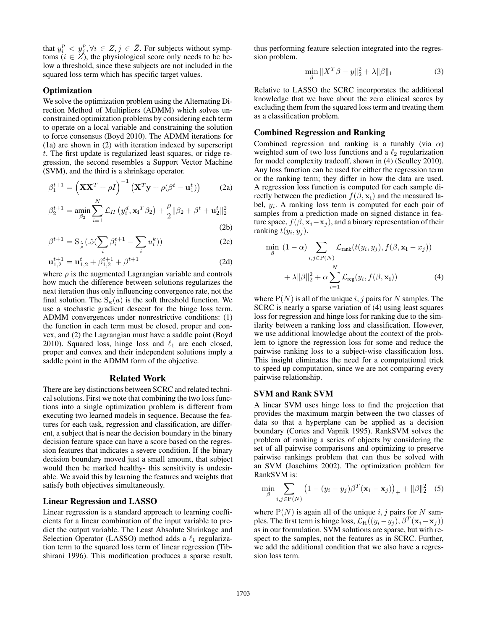that  $y_i^p \leq y_j^p, \forall i \in \mathbb{Z}, j \in \overline{\mathbb{Z}}$ . For subjects without symptoms  $(i \in \mathbb{Z})$ , the physiological score only needs to be below a threshold, since these subjects are not included in the squared loss term which has specific target values.

## **Optimization**

We solve the optimization problem using the Alternating Direction Method of Multipliers (ADMM) which solves unconstrained optimization problems by considering each term to operate on a local variable and constraining the solution to force consensus (Boyd 2010). The ADMM iterations for (1a) are shown in (2) with iteration indexed by superscript t. The first update is regularized least squares, or ridge regression, the second resembles a Support Vector Machine (SVM), and the third is a shrinkage operator.

$$
\beta_1^{t+1} = \left(\mathbf{X}\mathbf{X}^T + \rho I\right)^{-1} \left(\mathbf{X}^T \mathbf{y} + \rho(\beta^t - \mathbf{u}_1^t)\right) \tag{2a}
$$

$$
\beta_2^{t+1} = \min_{\beta_2} \sum_{i=1}^N \mathcal{L}_H \left( y_i^d, \mathbf{x_i}^T \beta_2 \right) + \frac{\rho}{2} ||\beta_2 + \beta^t + \mathbf{u}_2^t||_2^2
$$
\n(2b)

$$
\mathcal{L}^{\mathcal{L}}(\mathcal{L}^{\mathcal{L}})
$$

$$
\beta^{t+1} = \mathcal{S}_{\frac{\lambda}{\rho}}(.5(\sum_{i} \beta_i^{t+1} - \sum_{i} u_i^k))
$$
 (2c)

$$
\mathbf{u}_{1,2}^{t+1} = \mathbf{u}_{1,2}^t + \beta_{1,2}^{t+1} + \beta^{t+1}
$$
 (2d)

where  $\rho$  is the augmented Lagrangian variable and controls how much the difference between solutions regularizes the next iteration thus only influencing convergence rate, not the final solution. The  $S_{\kappa}(a)$  is the soft threshold function. We use a stochastic gradient descent for the hinge loss term. ADMM convergences under nonrestrictive conditions: (1) the function in each term must be closed, proper and convex, and (2) the Lagrangian must have a saddle point (Boyd 2010). Squared loss, hinge loss and  $\ell_1$  are each closed, proper and convex and their independent solutions imply a saddle point in the ADMM form of the objective.

## Related Work

There are key distinctions between SCRC and related technical solutions. First we note that combining the two loss functions into a single optimization problem is different from executing two learned models in sequence. Because the features for each task, regression and classification, are different, a subject that is near the decision boundary in the binary decision feature space can have a score based on the regression features that indicates a severe condition. If the binary decision boundary moved just a small amount, that subject would then be marked healthy- this sensitivity is undesirable. We avoid this by learning the features and weights that satisfy both objectives simultaneously.

#### Linear Regression and LASSO

Linear regression is a standard approach to learning coefficients for a linear combination of the input variable to predict the output variable. The Least Absolute Shrinkage and Selection Operator (LASSO) method adds a  $\ell_1$  regularization term to the squared loss term of linear regression (Tibshirani 1996). This modification produces a sparse result,

thus performing feature selection integrated into the regression problem.

$$
\min_{\beta} \|X^T \beta - y\|_2^2 + \lambda \|\beta\|_1
$$
 (3)

Relative to LASSO the SCRC incorporates the additional knowledge that we have about the zero clinical scores by excluding them from the squared loss term and treating them as a classification problem.

#### Combined Regression and Ranking

Combined regression and ranking is a tunably (via  $\alpha$ ) weighted sum of two loss functions and a  $\ell_2$  regularization for model complexity tradeoff, shown in (4) (Sculley 2010). Any loss function can be used for either the regression term or the ranking term; they differ in how the data are used. A regression loss function is computed for each sample directly between the prediction  $f(\beta, \mathbf{x_i})$  and the measured label,  $y_i$ . A ranking loss term is computed for each pair of samples from a prediction made on signed distance in feature space,  $f(\beta, \mathbf{x}_i - \mathbf{x}_j)$ , and a binary representation of their ranking  $t(y_i, y_j)$ .

$$
\min_{\beta} (1 - \alpha) \sum_{i,j \in P(N)} \mathcal{L}_{\text{rank}}(t(y_i, y_j), f(\beta, \mathbf{x_i} - x_j)) + \lambda ||\beta||_2^2 + \alpha \sum_{i=1}^N \mathcal{L}_{\text{reg}}(y_i, f(\beta, \mathbf{x_i})) \tag{4}
$$

where  $P(N)$  is all of the unique i, j pairs for N samples. The SCRC is nearly a sparse variation of (4) using least squares loss for regression and hinge loss for ranking due to the similarity between a ranking loss and classification. However, we use additional knowledge about the context of the problem to ignore the regression loss for some and reduce the pairwise ranking loss to a subject-wise classification loss. This insight eliminates the need for a computational trick to speed up computation, since we are not comparing every pairwise relationship.

# SVM and Rank SVM

A linear SVM uses hinge loss to find the projection that provides the maximum margin between the two classes of data so that a hyperplane can be applied as a decision boundary (Cortes and Vapnik 1995). RankSVM solves the problem of ranking a series of objects by considering the set of all pairwise comparisons and optimizing to preserve pairwise rankings problem that can thus be solved with an SVM (Joachims 2002). The optimization problem for RankSVM is:

$$
\min_{\beta} \sum_{i,j \in P(N)} (1 - (y_i - y_j)\beta^T (\mathbf{x}_i - \mathbf{x}_j))_+ + ||\beta||_2^2 \quad (5)
$$

where  $P(N)$  is again all of the unique i, j pairs for N samples. The first term is hinge loss,  $\mathcal{L}_{\text{H}}((y_i - y_j), \beta^T(\mathbf{x}_i - \mathbf{x}_j))$ as in our formulation. SVM solutions are sparse, but with respect to the samples, not the features as in SCRC. Further, we add the additional condition that we also have a regression loss term.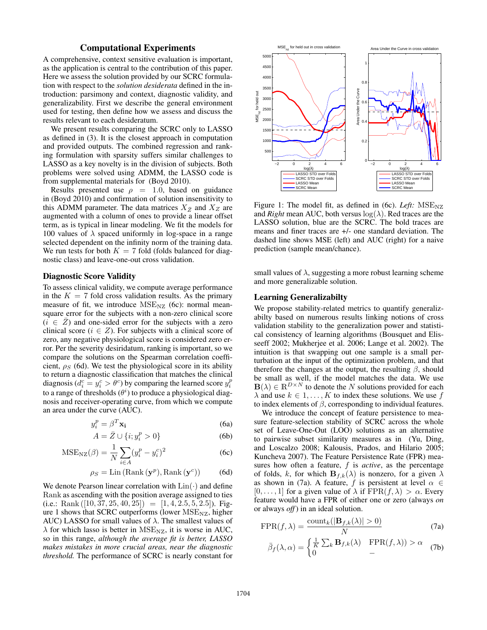# Computational Experiments

A comprehensive, context sensitive evaluation is important, as the application is central to the contribution of this paper. Here we assess the solution provided by our SCRC formulation with respect to the *solution desiderata* defined in the introduction: parsimony and context, diagnostic validity, and generalizability. First we describe the general environment used for testing, then define how we assess and discuss the results relevant to each desideratum.

We present results comparing the SCRC only to LASSO as defined in (3). It is the closest approach in computation and provided outputs. The combined regression and ranking formulation with sparsity suffers similar challenges to LASSO as a key novelty is in the division of subjects. Both problems were solved using ADMM, the LASSO code is from supplemental materials for (Boyd 2010).

Results presented use  $\rho = 1.0$ , based on guidance in (Boyd 2010) and confirmation of solution insensitivity to this ADMM parameter. The data matrices  $X_{\bar{Z}}$  and  $X_Z$  are augmented with a column of ones to provide a linear offset term, as is typical in linear modeling. We fit the models for 100 values of  $\lambda$  spaced uniformly in log-space in a range selected dependent on the infinity norm of the training data. We run tests for both  $K = 7$  fold (folds balanced for diagnostic class) and leave-one-out cross validation.

## Diagnostic Score Validity

To assess clinical validity, we compute average performance in the  $K = 7$  fold cross validation results. As the primary measure of fit, we introduce  $MSE_{NZ}$  (6c): normal meansquare error for the subjects with a non-zero clinical score  $(i \in \overline{Z})$  and one-sided error for the subjects with a zero clinical score ( $i \in \mathbb{Z}$ ). For subjects with a clinical score of zero, any negative physiological score is considered zero error. Per the severity desiridatum, ranking is important, so we compare the solutions on the Spearman correlation coefficient,  $\rho_S$  (6d). We test the physiological score in its ability to return a diagnostic classification that matches the clinical diagnosis ( $d_i^c = y_i^c > \theta^c$ ) by comparing the learned score  $y_i^p$ to a range of thresholds  $(\theta^i)$  to produce a physiological diagnosis and receiver-operating curve, from which we compute an area under the curve (AUC).

$$
y_i^p = \beta^T \mathbf{x_i} \tag{6a}
$$

$$
A = \bar{Z} \cup \{i; y_i^p > 0\}
$$
 (6b)

$$
MSENZ(\beta) = \frac{1}{N} \sum_{i \in A} (y_i^p - y_i^c)^2
$$
 (6c)

$$
\rho_S = \text{Lin}(\text{Rank}(\mathbf{y}^p), \text{Rank}(\mathbf{y}^c))
$$
 (6d)

We denote Pearson linear correlation with  $\text{Lin}(\cdot)$  and define Rank as ascending with the position average assigned to ties (i.e.: Rank  $([10, 37, 25, 40, 25]) = [1, 4, 2.5, 5, 2.5])$ . Figure 1 shows that SCRC outperforms (lower  $MSE_{NZ}$ , higher AUC) LASSO for small values of  $\lambda$ . The smallest values of  $\lambda$  for which lasso is better in MSE<sub>NZ</sub>, it is worse in AUC, so in this range, *although the average fit is better, LASSO makes mistakes in more crucial areas, near the diagnostic threshold.* The performance of SCRC is nearly constant for



Figure 1: The model fit, as defined in (6c). *Left:* MSE<sub>NZ</sub> and *Right* mean AUC, both versus  $log(\lambda)$ . Red traces are the LASSO solution, blue are the SCRC. The bold traces are means and finer traces are +/- one standard deviation. The dashed line shows MSE (left) and AUC (right) for a naive prediction (sample mean/chance).

small values of  $\lambda$ , suggesting a more robust learning scheme and more generalizable solution.

#### Learning Generalizabilty

We propose stability-related metrics to quantify generalizabilty based on numerous results linking notions of cross validation stability to the generalization power and statistical consistency of learning algorithms (Bousquet and Elisseeff 2002; Mukherjee et al. 2006; Lange et al. 2002). The intuition is that swapping out one sample is a small perturbation at the input of the optimization problem, and that therefore the changes at the output, the resulting  $\beta$ , should be small as well, if the model matches the data. We use  $\mathbf{B}(\lambda) \in \mathbb{R}^{D \times N}$  to denote the N solutions provided for each  $\lambda$  and use  $k \in 1, \ldots, K$  to index these solutions. We use f to index elements of  $\beta$ , corresponding to individual features.

We introduce the concept of feature persistence to measure feature-selection stability of SCRC across the whole set of Leave-One-Out (LOO) solutions as an alternative to pairwise subset similarity measures as in (Yu, Ding, and Loscalzo 2008; Kalousis, Prados, and Hilario 2005; Kuncheva 2007). The Feature Persistence Rate (FPR) measures how often a feature, f is *active*, as the percentage of folds, k, for which  $\mathbf{B}_{f,k}(\lambda)$  is nonzero, for a given  $\lambda$ as shown in (7a). A feature, f is persistent at level  $\alpha \in$  $[0, \ldots, 1]$  for a given value of  $\lambda$  if  $\text{FPR}(f, \lambda) > \alpha$ . Every feature would have a FPR of either one or zero (always *on* or always *off*) in an ideal solution.

$$
\text{FPR}(f,\lambda) = \frac{\text{count}_k(|\mathbf{B}_{f,k}(\lambda)| > 0)}{N} \tag{7a}
$$

$$
\bar{\beta}_f(\lambda,\alpha) = \begin{cases} \frac{1}{K} \sum_k \mathbf{B}_{f,k}(\lambda) & \text{FPR}(f,\lambda) > \alpha \\ 0 & - \end{cases} \tag{7b}
$$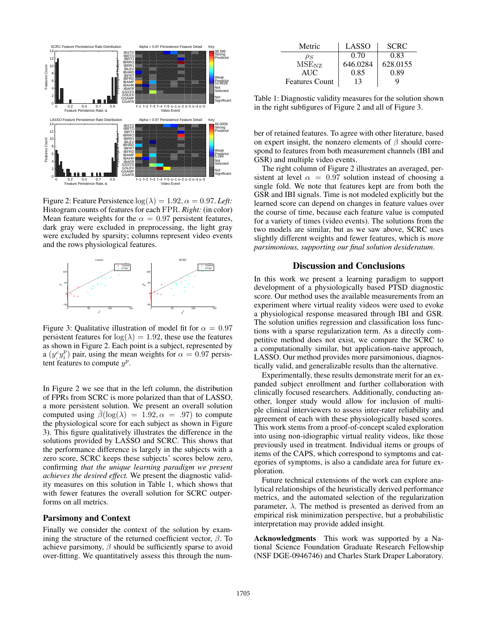

Figure 2: Feature Persistence  $log(\lambda) = 1.92, \alpha = 0.97$ . *Left*: Histogram counts of features for each FPR. *Right:* (in color) Mean feature weights for the  $\alpha = 0.97$  persistent features, dark gray were excluded in preprocessing, the light gray were excluded by sparsity; columns represent video events and the rows physiological features.



Figure 3: Qualitative illustration of model fit for  $\alpha = 0.97$ persistent features for  $log(\lambda) = 1.92$ , these use the features as shown in Figure 2. Each point is a subject, represented by a  $(y_i^c y_i^p)$  pair, using the mean weights for  $\alpha = 0.97$  persistent features to compute  $y^p$ .

In Figure 2 we see that in the left column, the distribution of FPRs from SCRC is more polarized than that of LASSO, a more persistent solution. We present an overall solution computed using  $\bar{\beta}(\log(\lambda) = 1.92, \alpha = .97)$  to compute the physiological score for each subject as shown in Figure 3). This figure qualitatively illustrates the difference in the solutions provided by LASSO and SCRC. This shows that the performance difference is largely in the subjects with a zero score, SCRC keeps these subjects' scores below zero, confirming *that the unique learning paradigm we present achieves the desired effect.* We present the diagnostic validity measures on this solution in Table 1, which shows that with fewer features the overall solution for SCRC outperforms on all metrics.

#### Parsimony and Context

Finally we consider the context of the solution by examining the structure of the returned coefficient vector,  $\beta$ . To achieve parsimony,  $\beta$  should be sufficiently sparse to avoid over-fitting. We quantitatively assess this through the num-

| Metric                | LASSO    | <b>SCRC</b> |
|-----------------------|----------|-------------|
| $\rho_S$              | 0.70     | 0.83        |
| $MSE_{NZ}$            | 646.0284 | 628.0155    |
| AUC.                  | 0.85     | 0.89        |
| <b>Features Count</b> | 13       |             |

Table 1: Diagnostic validity measures for the solution shown in the right subfigures of Figure 2 and all of Figure 3.

ber of retained features. To agree with other literature, based on expert insight, the nonzero elements of  $\beta$  should correspond to features from both measurement channels (IBI and GSR) and multiple video events.

The right column of Figure 2 illustrates an averaged, persistent at level  $\alpha = 0.97$  solution instead of choosing a single fold. We note that features kept are from both the GSR and IBI signals. Time is not modeled explicitly but the learned score can depend on changes in feature values over the course of time, because each feature value is computed for a variety of times (video events). The solutions from the two models are similar, but as we saw above, SCRC uses slightly different weights and fewer features, which is *more parsimonious, supporting our final solution desideratum*.

## Discussion and Conclusions

In this work we present a learning paradigm to support development of a physiologically based PTSD diagnostic score. Our method uses the available measurements from an experiment where virtual reality videos were used to evoke a physiological response measured through IBI and GSR. The solution unifies regression and classification loss functions with a sparse regularization term. As a directly competitive method does not exist, we compare the SCRC to a computationally similar, but application-naive approach, LASSO. Our method provides more parsimonious, diagnostically valid, and generalizable results than the alternative.

Experimentally, these results demonstrate merit for an expanded subject enrollment and further collaboration with clinically focused researchers. Additionally, conducting another, longer study would allow for inclusion of multiple clinical interviewers to assess inter-rater reliability and agreement of each with these physiologically based scores. This work stems from a proof-of-concept scaled exploration into using non-idiographic virtual reality videos, like those previously used in treatment. Individual items or groups of items of the CAPS, which correspond to symptoms and categories of symptoms, is also a candidate area for future exploration.

Future technical extensions of the work can explore analytical relationships of the heuristically derived performance metrics, and the automated selection of the regularization parameter,  $\lambda$ . The method is presented as derived from an empirical risk minimization perspective, but a probabilistic interpretation may provide added insight.

Acknowledgments This work was supported by a National Science Foundation Graduate Research Fellowship (NSF DGE-0946746) and Charles Stark Draper Laboratory.